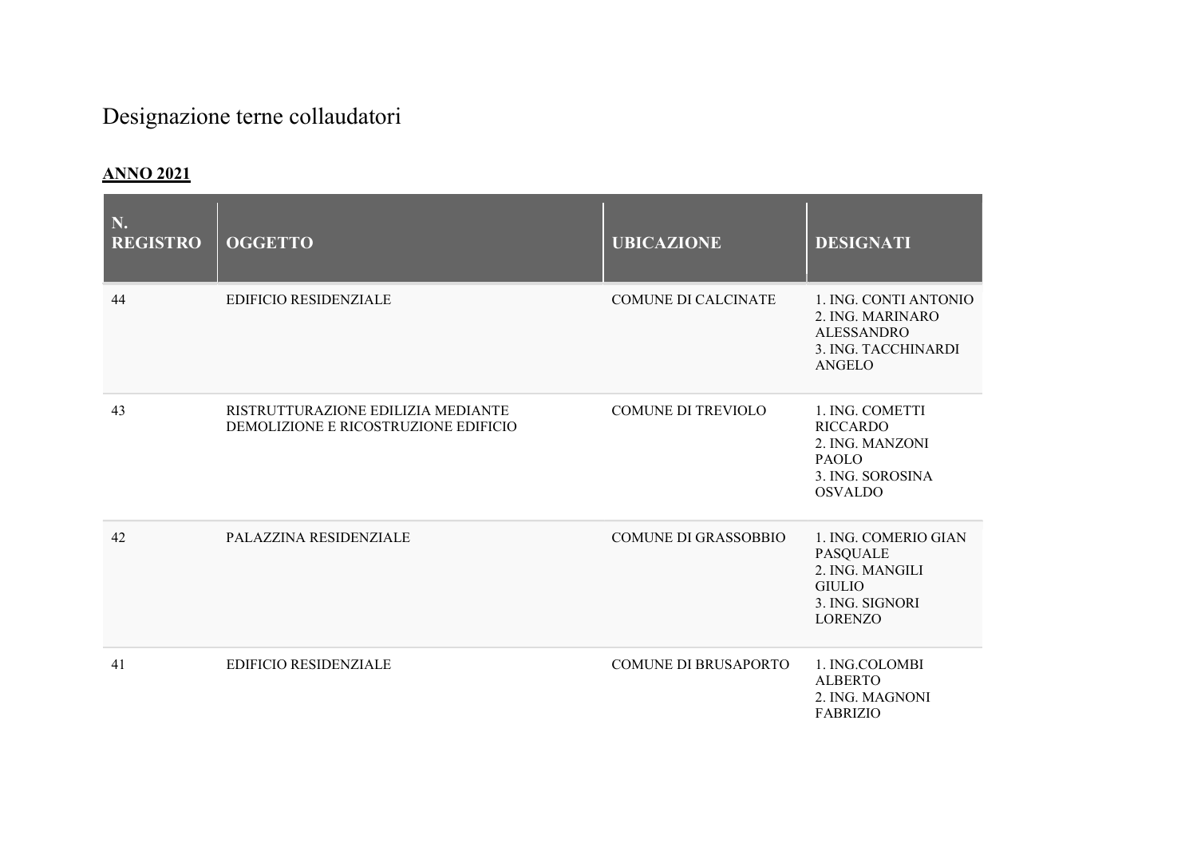## Designazione terne collaudatori

## ANNO 2021

| N.<br><b>REGISTRO</b> | <b>OGGETTO</b>                                                             | <b>UBICAZIONE</b>           | <b>DESIGNATI</b>                                                                                                 |
|-----------------------|----------------------------------------------------------------------------|-----------------------------|------------------------------------------------------------------------------------------------------------------|
| 44                    | <b>EDIFICIO RESIDENZIALE</b>                                               | <b>COMUNE DI CALCINATE</b>  | 1. ING. CONTI ANTONIO<br>2. ING. MARINARO<br><b>ALESSANDRO</b><br>3. ING. TACCHINARDI<br><b>ANGELO</b>           |
| 43                    | RISTRUTTURAZIONE EDILIZIA MEDIANTE<br>DEMOLIZIONE E RICOSTRUZIONE EDIFICIO | <b>COMUNE DI TREVIOLO</b>   | 1. ING. COMETTI<br><b>RICCARDO</b><br>2. ING. MANZONI<br><b>PAOLO</b><br>3. ING. SOROSINA<br><b>OSVALDO</b>      |
| 42                    | PALAZZINA RESIDENZIALE                                                     | <b>COMUNE DI GRASSOBBIO</b> | 1. ING. COMERIO GIAN<br><b>PASQUALE</b><br>2. ING. MANGILI<br><b>GIULIO</b><br>3. ING. SIGNORI<br><b>LORENZO</b> |
| 41                    | <b>EDIFICIO RESIDENZIALE</b>                                               | <b>COMUNE DI BRUSAPORTO</b> | 1. ING.COLOMBI<br><b>ALBERTO</b><br>2. ING. MAGNONI<br><b>FABRIZIO</b>                                           |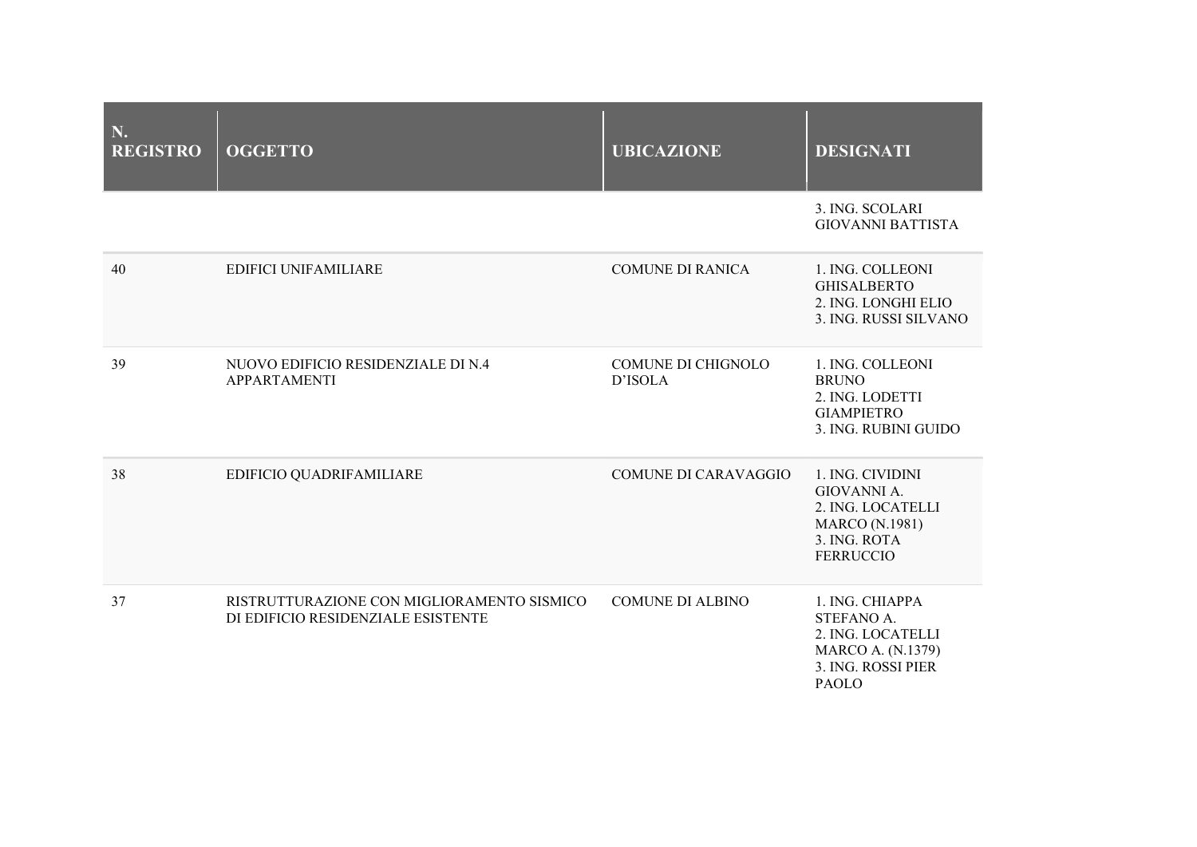| N.<br><b>REGISTRO</b> | <b>OGGETTO</b>                                                                   | <b>UBICAZIONE</b>             | <b>DESIGNATI</b>                                                                                                     |
|-----------------------|----------------------------------------------------------------------------------|-------------------------------|----------------------------------------------------------------------------------------------------------------------|
|                       |                                                                                  |                               | 3. ING. SCOLARI<br><b>GIOVANNI BATTISTA</b>                                                                          |
| 40                    | <b>EDIFICI UNIFAMILIARE</b>                                                      | <b>COMUNE DI RANICA</b>       | 1. ING. COLLEONI<br><b>GHISALBERTO</b><br>2. ING. LONGHI ELIO<br>3. ING. RUSSI SILVANO                               |
| 39                    | NUOVO EDIFICIO RESIDENZIALE DI N.4<br><b>APPARTAMENTI</b>                        | COMUNE DI CHIGNOLO<br>D'ISOLA | 1. ING. COLLEONI<br><b>BRUNO</b><br>2. ING. LODETTI<br><b>GIAMPIETRO</b><br>3. ING. RUBINI GUIDO                     |
| 38                    | EDIFICIO QUADRIFAMILIARE                                                         | <b>COMUNE DI CARAVAGGIO</b>   | 1. ING. CIVIDINI<br>GIOVANNI A.<br>2. ING. LOCATELLI<br><b>MARCO</b> (N.1981)<br>3. ING. ROTA<br><b>FERRUCCIO</b>    |
| 37                    | RISTRUTTURAZIONE CON MIGLIORAMENTO SISMICO<br>DI EDIFICIO RESIDENZIALE ESISTENTE | <b>COMUNE DI ALBINO</b>       | 1. ING. CHIAPPA<br>STEFANO A.<br>2. ING. LOCATELLI<br><b>MARCO A. (N.1379)</b><br>3. ING. ROSSI PIER<br><b>PAOLO</b> |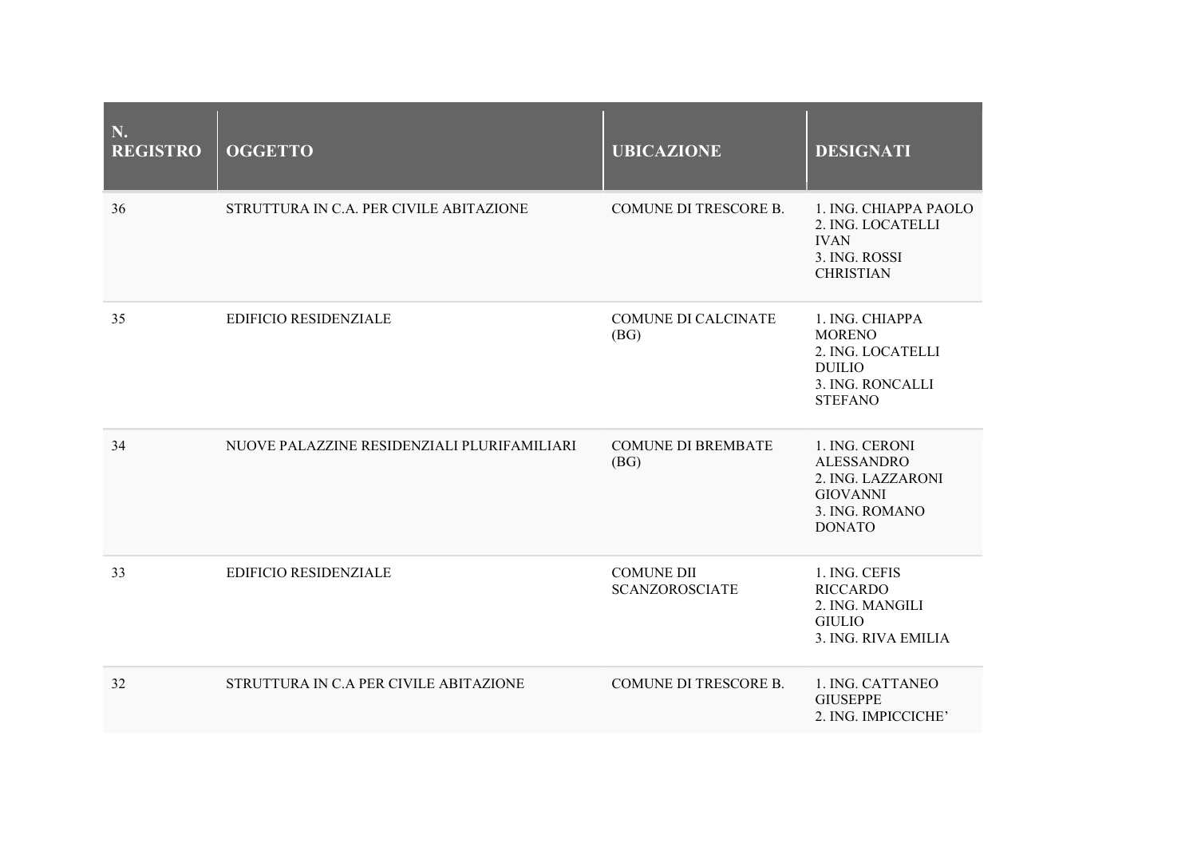| N.<br><b>REGISTRO</b> | <b>OGGETTO</b>                              | <b>UBICAZIONE</b>                          | <b>DESIGNATI</b>                                                                                               |
|-----------------------|---------------------------------------------|--------------------------------------------|----------------------------------------------------------------------------------------------------------------|
| 36                    | STRUTTURA IN C.A. PER CIVILE ABITAZIONE     | <b>COMUNE DI TRESCORE B.</b>               | 1. ING. CHIAPPA PAOLO<br>2. ING. LOCATELLI<br><b>IVAN</b><br>3. ING. ROSSI<br><b>CHRISTIAN</b>                 |
| 35                    | <b>EDIFICIO RESIDENZIALE</b>                | <b>COMUNE DI CALCINATE</b><br>(BG)         | 1. ING. CHIAPPA<br><b>MORENO</b><br>2. ING. LOCATELLI<br><b>DUILIO</b><br>3. ING. RONCALLI<br><b>STEFANO</b>   |
| 34                    | NUOVE PALAZZINE RESIDENZIALI PLURIFAMILIARI | <b>COMUNE DI BREMBATE</b><br>(BG)          | 1. ING. CERONI<br><b>ALESSANDRO</b><br>2. ING. LAZZARONI<br><b>GIOVANNI</b><br>3. ING. ROMANO<br><b>DONATO</b> |
| 33                    | <b>EDIFICIO RESIDENZIALE</b>                | <b>COMUNE DII</b><br><b>SCANZOROSCIATE</b> | 1. ING. CEFIS<br><b>RICCARDO</b><br>2. ING. MANGILI<br><b>GIULIO</b><br>3. ING. RIVA EMILIA                    |
| 32                    | STRUTTURA IN C.A PER CIVILE ABITAZIONE      | COMUNE DI TRESCORE B.                      | 1. ING. CATTANEO<br><b>GIUSEPPE</b><br>2. ING. IMPICCICHE'                                                     |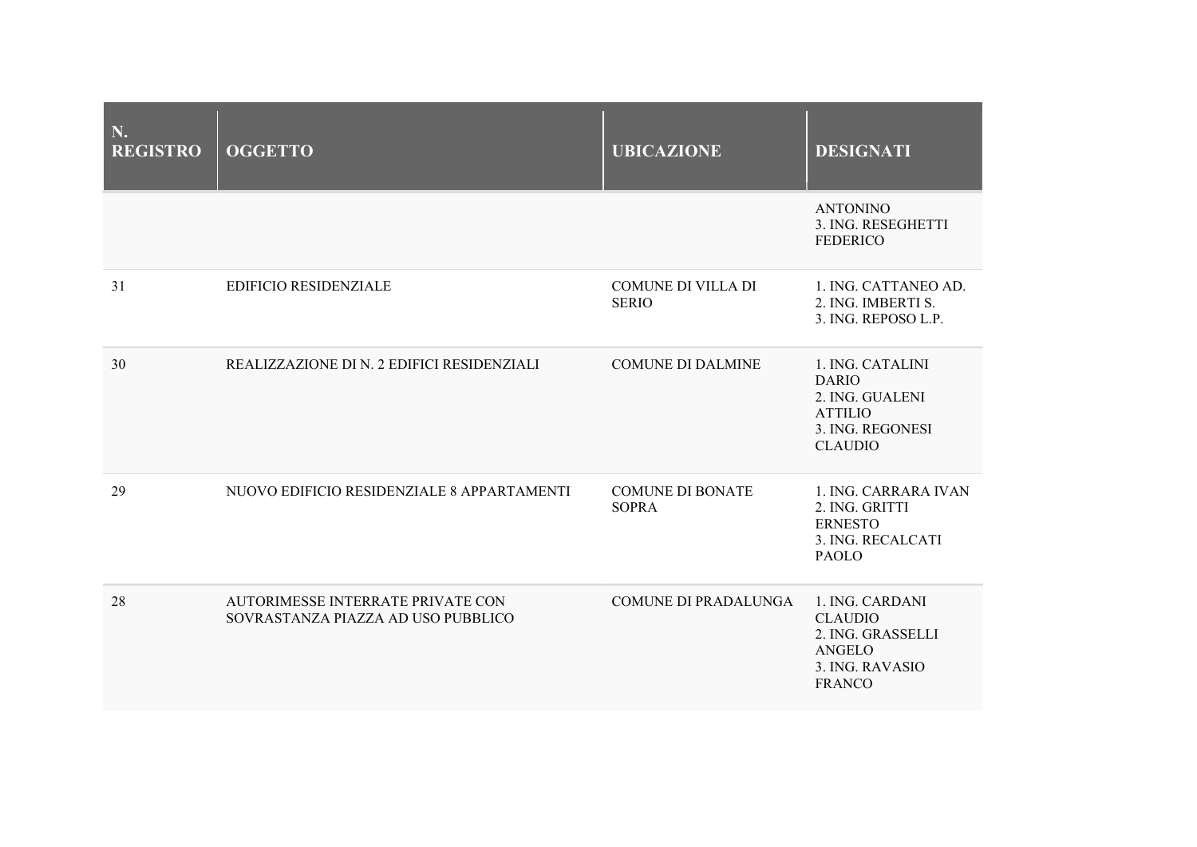| N.<br><b>REGISTRO</b> | <b>OGGETTO</b>                                                          | <b>UBICAZIONE</b>                         | <b>DESIGNATI</b>                                                                                            |
|-----------------------|-------------------------------------------------------------------------|-------------------------------------------|-------------------------------------------------------------------------------------------------------------|
|                       |                                                                         |                                           | <b>ANTONINO</b><br>3. ING. RESEGHETTI<br><b>FEDERICO</b>                                                    |
| 31                    | <b>EDIFICIO RESIDENZIALE</b>                                            | <b>COMUNE DI VILLA DI</b><br><b>SERIO</b> | 1. ING. CATTANEO AD.<br>2. ING. IMBERTI S.<br>3. ING. REPOSO L.P.                                           |
| 30                    | REALIZZAZIONE DI N. 2 EDIFICI RESIDENZIALI                              | <b>COMUNE DI DALMINE</b>                  | 1. ING. CATALINI<br><b>DARIO</b><br>2. ING. GUALENI<br><b>ATTILIO</b><br>3. ING. REGONESI<br><b>CLAUDIO</b> |
| 29                    | NUOVO EDIFICIO RESIDENZIALE 8 APPARTAMENTI                              | <b>COMUNE DI BONATE</b><br><b>SOPRA</b>   | 1. ING. CARRARA IVAN<br>2. ING. GRITTI<br><b>ERNESTO</b><br>3. ING. RECALCATI<br>PAOLO                      |
| 28                    | AUTORIMESSE INTERRATE PRIVATE CON<br>SOVRASTANZA PIAZZA AD USO PUBBLICO | <b>COMUNE DI PRADALUNGA</b>               | 1. ING. CARDANI<br><b>CLAUDIO</b><br>2. ING. GRASSELLI<br>ANGELO<br>3. ING. RAVASIO<br><b>FRANCO</b>        |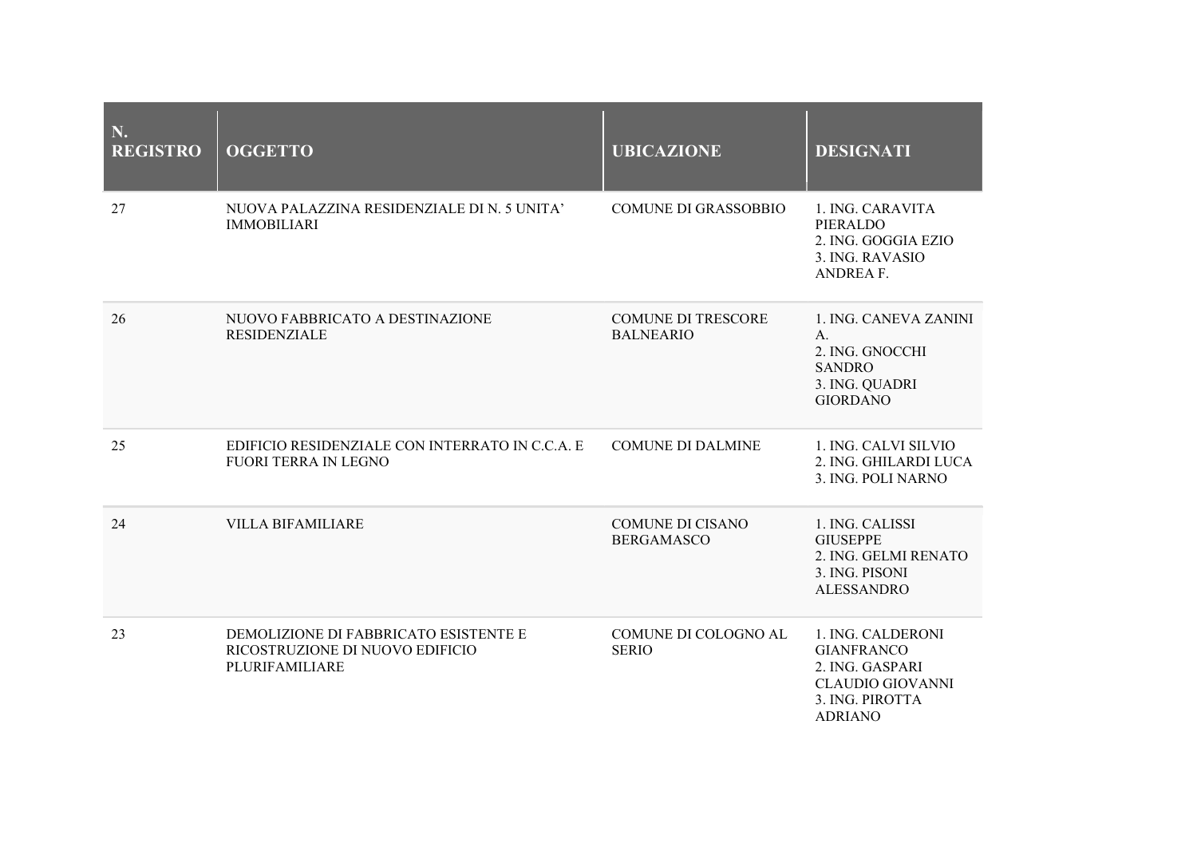| N.<br><b>REGISTRO</b> | <b>OGGETTO</b>                                                                             | <b>UBICAZIONE</b>                             | <b>DESIGNATI</b>                                                                                                          |
|-----------------------|--------------------------------------------------------------------------------------------|-----------------------------------------------|---------------------------------------------------------------------------------------------------------------------------|
| 27                    | NUOVA PALAZZINA RESIDENZIALE DI N. 5 UNITA'<br><b>IMMOBILIARI</b>                          | <b>COMUNE DI GRASSOBBIO</b>                   | 1. ING. CARAVITA<br>PIERALDO<br>2. ING. GOGGIA EZIO<br>3. ING. RAVASIO<br><b>ANDREA F.</b>                                |
| 26                    | NUOVO FABBRICATO A DESTINAZIONE<br><b>RESIDENZIALE</b>                                     | <b>COMUNE DI TRESCORE</b><br><b>BALNEARIO</b> | 1. ING. CANEVA ZANINI<br>A.<br>2. ING. GNOCCHI<br><b>SANDRO</b><br>3. ING. QUADRI<br><b>GIORDANO</b>                      |
| 25                    | EDIFICIO RESIDENZIALE CON INTERRATO IN C.C.A. E<br><b>FUORI TERRA IN LEGNO</b>             | <b>COMUNE DI DALMINE</b>                      | 1. ING. CALVI SILVIO<br>2. ING. GHILARDI LUCA<br>3. ING. POLI NARNO                                                       |
| 24                    | <b>VILLA BIFAMILIARE</b>                                                                   | <b>COMUNE DI CISANO</b><br><b>BERGAMASCO</b>  | 1. ING. CALISSI<br><b>GIUSEPPE</b><br>2. ING. GELMI RENATO<br>3. ING. PISONI<br><b>ALESSANDRO</b>                         |
| 23                    | DEMOLIZIONE DI FABBRICATO ESISTENTE E<br>RICOSTRUZIONE DI NUOVO EDIFICIO<br>PLURIFAMILIARE | COMUNE DI COLOGNO AL<br><b>SERIO</b>          | 1. ING. CALDERONI<br><b>GIANFRANCO</b><br>2. ING. GASPARI<br><b>CLAUDIO GIOVANNI</b><br>3. ING. PIROTTA<br><b>ADRIANO</b> |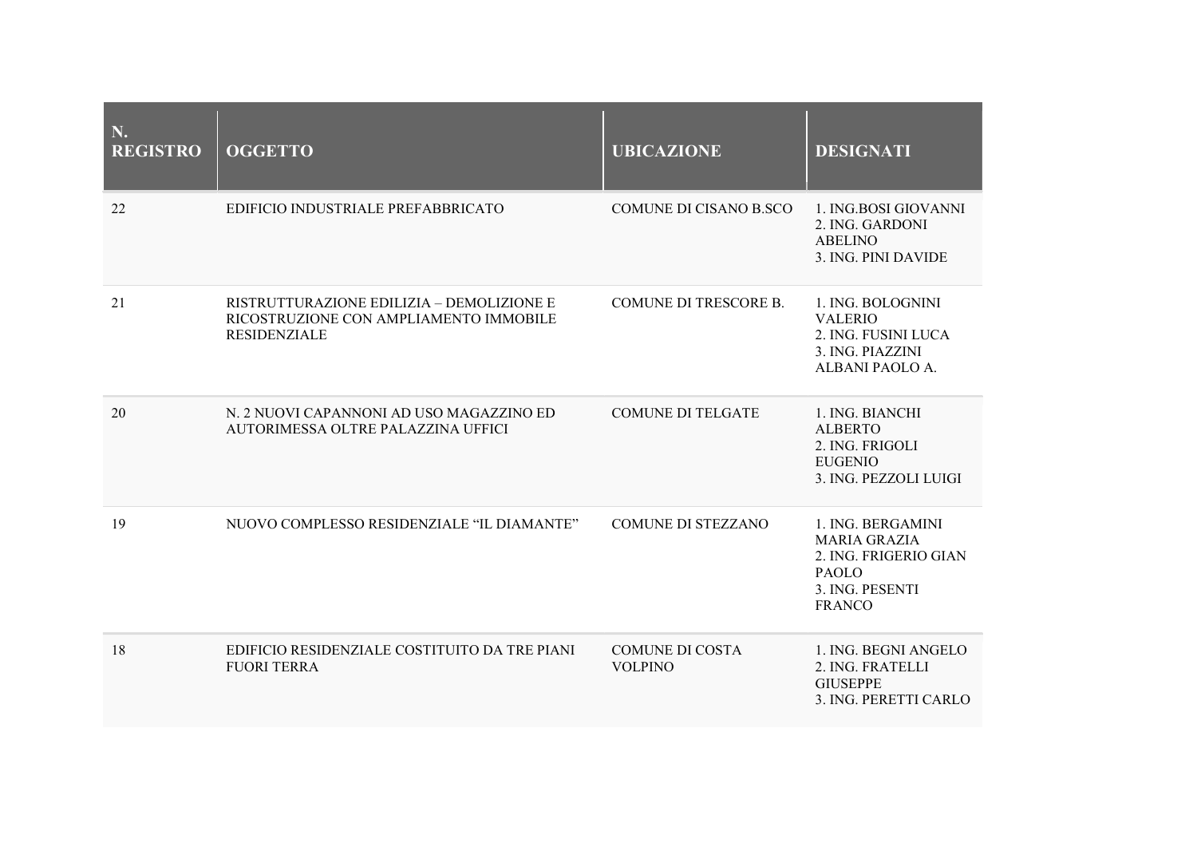| N.<br><b>REGISTRO</b> | <b>OGGETTO</b>                                                                                             | <b>UBICAZIONE</b>                        | <b>DESIGNATI</b>                                                                                                      |
|-----------------------|------------------------------------------------------------------------------------------------------------|------------------------------------------|-----------------------------------------------------------------------------------------------------------------------|
| 22                    | EDIFICIO INDUSTRIALE PREFABBRICATO                                                                         | COMUNE DI CISANO B.SCO                   | 1. ING.BOSI GIOVANNI<br>2. ING. GARDONI<br><b>ABELINO</b><br>3. ING. PINI DAVIDE                                      |
| 21                    | RISTRUTTURAZIONE EDILIZIA - DEMOLIZIONE E<br>RICOSTRUZIONE CON AMPLIAMENTO IMMOBILE<br><b>RESIDENZIALE</b> | <b>COMUNE DI TRESCORE B.</b>             | 1. ING. BOLOGNINI<br><b>VALERIO</b><br>2. ING. FUSINI LUCA<br>3. ING. PIAZZINI<br>ALBANI PAOLO A.                     |
| 20                    | N. 2 NUOVI CAPANNONI AD USO MAGAZZINO ED<br>AUTORIMESSA OLTRE PALAZZINA UFFICI                             | <b>COMUNE DI TELGATE</b>                 | 1. ING. BIANCHI<br><b>ALBERTO</b><br>2. ING. FRIGOLI<br><b>EUGENIO</b><br>3. ING. PEZZOLI LUIGI                       |
| 19                    | NUOVO COMPLESSO RESIDENZIALE "IL DIAMANTE"                                                                 | <b>COMUNE DI STEZZANO</b>                | 1. ING. BERGAMINI<br><b>MARIA GRAZIA</b><br>2. ING. FRIGERIO GIAN<br><b>PAOLO</b><br>3. ING. PESENTI<br><b>FRANCO</b> |
| 18                    | EDIFICIO RESIDENZIALE COSTITUITO DA TRE PIANI<br><b>FUORI TERRA</b>                                        | <b>COMUNE DI COSTA</b><br><b>VOLPINO</b> | 1. ING. BEGNI ANGELO<br>2. ING. FRATELLI<br><b>GIUSEPPE</b><br>3. ING. PERETTI CARLO                                  |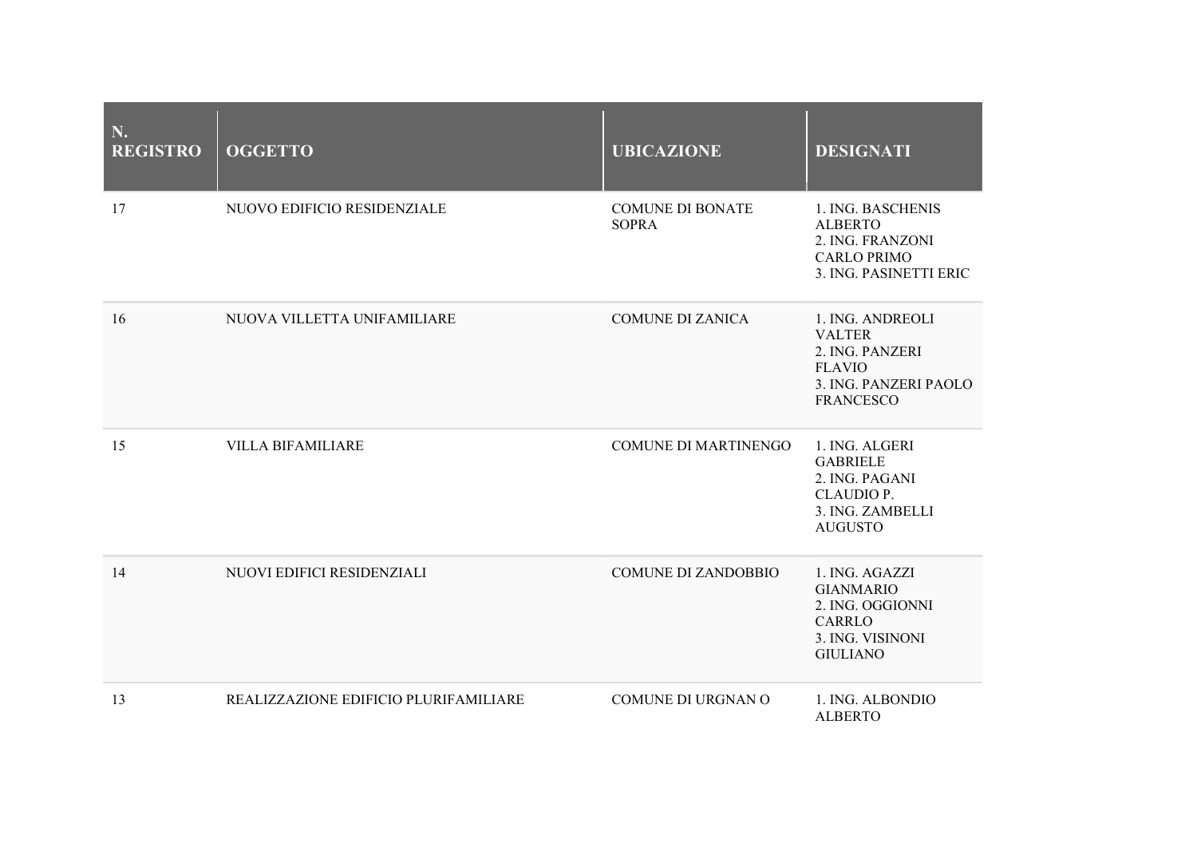| N.<br><b>REGISTRO</b> | <b>OGGETTO</b>                        | <b>UBICAZIONE</b>                       | <b>DESIGNATI</b>                                                                                                   |
|-----------------------|---------------------------------------|-----------------------------------------|--------------------------------------------------------------------------------------------------------------------|
| 17                    | NUOVO EDIFICIO RESIDENZIALE           | <b>COMUNE DI BONATE</b><br><b>SOPRA</b> | 1. ING. BASCHENIS<br><b>ALBERTO</b><br>2. ING. FRANZONI<br><b>CARLO PRIMO</b><br>3. ING. PASINETTI ERIC            |
| 16                    | NUOVA VILLETTA UNIFAMILIARE           | <b>COMUNE DI ZANICA</b>                 | 1. ING. ANDREOLI<br><b>VALTER</b><br>2. ING. PANZERI<br><b>FLAVIO</b><br>3. ING. PANZERI PAOLO<br><b>FRANCESCO</b> |
| 15                    | <b>VILLA BIFAMILIARE</b>              | <b>COMUNE DI MARTINENGO</b>             | 1. ING. ALGERI<br><b>GABRIELE</b><br>2. ING. PAGANI<br>CLAUDIO P.<br>3. ING. ZAMBELLI<br><b>AUGUSTO</b>            |
| 14                    | NUOVI EDIFICI RESIDENZIALI            | <b>COMUNE DI ZANDOBBIO</b>              | 1. ING. AGAZZI<br><b>GIANMARIO</b><br>2. ING. OGGIONNI<br><b>CARRLO</b><br>3. ING. VISINONI<br><b>GIULIANO</b>     |
| 13                    | REALIZZAZIONE EDIFICIO PLURIFAMILIARE | <b>COMUNE DI URGNAN O</b>               | 1. ING. ALBONDIO<br><b>ALBERTO</b>                                                                                 |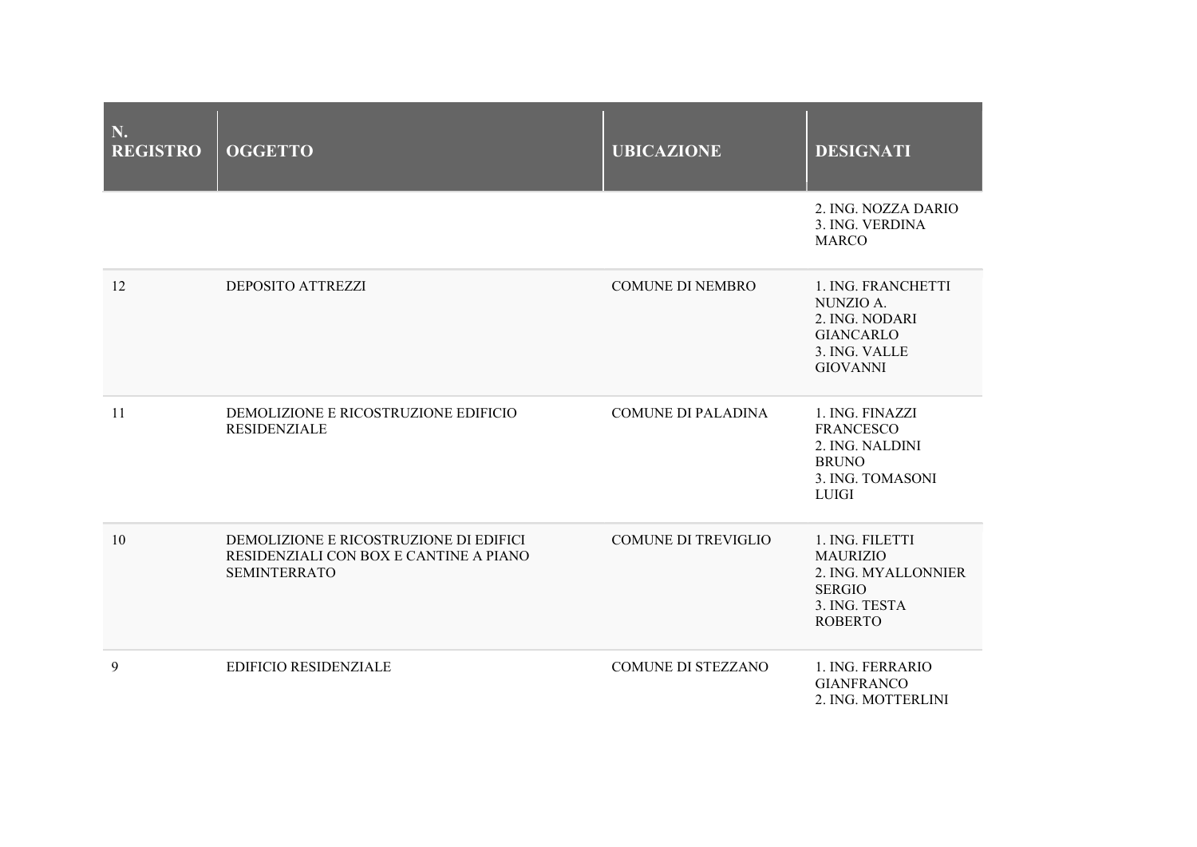| N.<br><b>REGISTRO</b> | <b>OGGETTO</b>                                                                                          | <b>UBICAZIONE</b>          | <b>DESIGNATI</b>                                                                                              |
|-----------------------|---------------------------------------------------------------------------------------------------------|----------------------------|---------------------------------------------------------------------------------------------------------------|
|                       |                                                                                                         |                            | 2. ING. NOZZA DARIO<br>3. ING. VERDINA<br><b>MARCO</b>                                                        |
| 12                    | <b>DEPOSITO ATTREZZI</b>                                                                                | <b>COMUNE DI NEMBRO</b>    | 1. ING. FRANCHETTI<br>NUNZIO A.<br>2. ING. NODARI<br><b>GIANCARLO</b><br>3. ING. VALLE<br><b>GIOVANNI</b>     |
| 11                    | DEMOLIZIONE E RICOSTRUZIONE EDIFICIO<br><b>RESIDENZIALE</b>                                             | <b>COMUNE DI PALADINA</b>  | 1. ING. FINAZZI<br><b>FRANCESCO</b><br>2. ING. NALDINI<br><b>BRUNO</b><br>3. ING. TOMASONI<br><b>LUIGI</b>    |
| 10                    | DEMOLIZIONE E RICOSTRUZIONE DI EDIFICI<br>RESIDENZIALI CON BOX E CANTINE A PIANO<br><b>SEMINTERRATO</b> | <b>COMUNE DI TREVIGLIO</b> | 1. ING. FILETTI<br><b>MAURIZIO</b><br>2. ING. MYALLONNIER<br><b>SERGIO</b><br>3. ING. TESTA<br><b>ROBERTO</b> |
| 9                     | <b>EDIFICIO RESIDENZIALE</b>                                                                            | <b>COMUNE DI STEZZANO</b>  | 1. ING. FERRARIO<br><b>GIANFRANCO</b><br>2. ING. MOTTERLINI                                                   |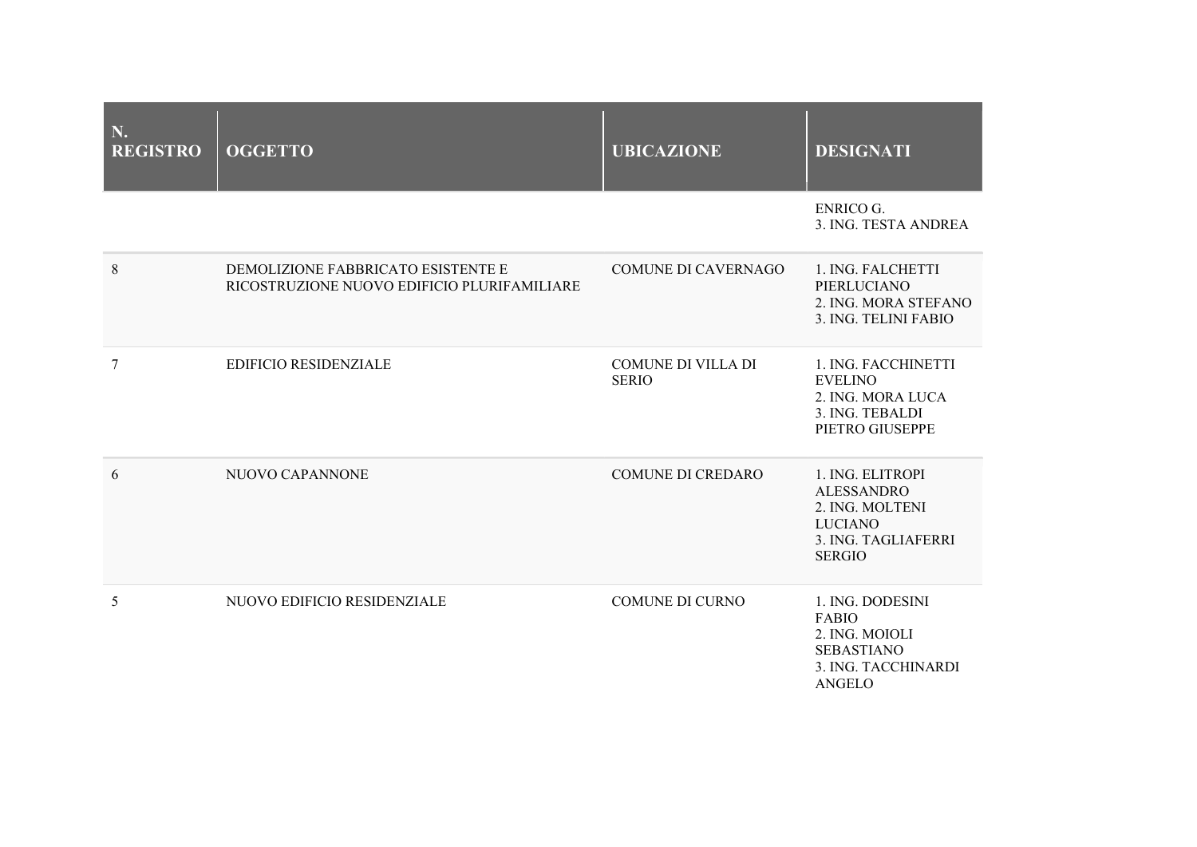| N.<br><b>REGISTRO</b> | <b>OGGETTO</b>                                                                    | <b>UBICAZIONE</b>                         | <b>DESIGNATI</b>                                                                                                   |
|-----------------------|-----------------------------------------------------------------------------------|-------------------------------------------|--------------------------------------------------------------------------------------------------------------------|
|                       |                                                                                   |                                           | <b>ENRICO G.</b><br>3. ING. TESTA ANDREA                                                                           |
| $\,8\,$               | DEMOLIZIONE FABBRICATO ESISTENTE E<br>RICOSTRUZIONE NUOVO EDIFICIO PLURIFAMILIARE | <b>COMUNE DI CAVERNAGO</b>                | 1. ING. FALCHETTI<br>PIERLUCIANO<br>2. ING. MORA STEFANO<br>3. ING. TELINI FABIO                                   |
| 7                     | <b>EDIFICIO RESIDENZIALE</b>                                                      | <b>COMUNE DI VILLA DI</b><br><b>SERIO</b> | 1. ING. FACCHINETTI<br><b>EVELINO</b><br>2. ING. MORA LUCA<br>3. ING. TEBALDI<br>PIETRO GIUSEPPE                   |
| 6                     | NUOVO CAPANNONE                                                                   | <b>COMUNE DI CREDARO</b>                  | 1. ING. ELITROPI<br><b>ALESSANDRO</b><br>2. ING. MOLTENI<br><b>LUCIANO</b><br>3. ING. TAGLIAFERRI<br><b>SERGIO</b> |
| 5                     | NUOVO EDIFICIO RESIDENZIALE                                                       | <b>COMUNE DI CURNO</b>                    | 1. ING. DODESINI<br><b>FABIO</b><br>2. ING. MOIOLI<br><b>SEBASTIANO</b><br>3. ING. TACCHINARDI<br><b>ANGELO</b>    |